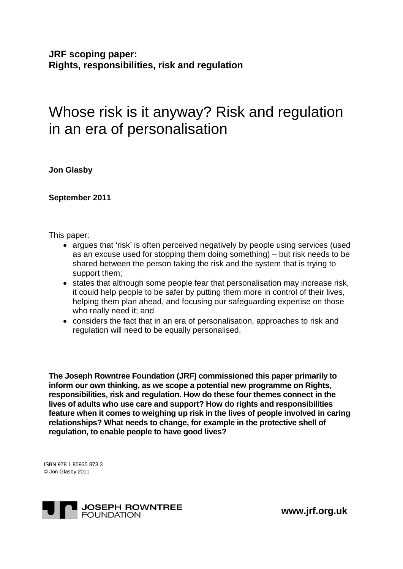**JRF scoping paper: Rights, responsibilities, risk and regulation**

# Whose risk is it anyway? Risk and regulation in an era of personalisation

**Jon Glasby**

**September 2011**

This paper:

- argues that 'risk' is often perceived negatively by people using services (used as an excuse used for stopping them doing something) – but risk needs to be shared between the person taking the risk and the system that is trying to support them;
- states that although some people fear that personalisation may increase risk, it could help people to be safer by putting them more in control of their lives, helping them plan ahead, and focusing our safeguarding expertise on those who really need it; and
- considers the fact that in an era of personalisation, approaches to risk and regulation will need to be equally personalised.

**The Joseph Rowntree Foundation (JRF) commissioned this paper primarily to inform our own thinking, as we scope a potential new programme on Rights, responsibilities, risk and regulation. How do these four themes connect in the lives of adults who use care and support? How do rights and responsibilities feature when it comes to weighing up risk in the lives of people involved in caring relationships? What needs to change, for example in the protective shell of regulation, to enable people to have good lives?**

ISBN 978 1 85935 873 3 © Jon Glasby 2011



**www.jrf.org.uk**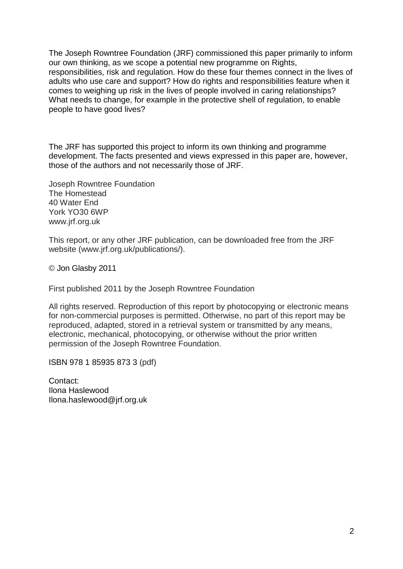The Joseph Rowntree Foundation (JRF) commissioned this paper primarily to inform our own thinking, as we scope a potential new programme on Rights, responsibilities, risk and regulation. How do these four themes connect in the lives of adults who use care and support? How do rights and responsibilities feature when it comes to weighing up risk in the lives of people involved in caring relationships? What needs to change, for example in the protective shell of regulation, to enable people to have good lives?

The JRF has supported this project to inform its own thinking and programme development. The facts presented and views expressed in this paper are, however, those of the authors and not necessarily those of JRF.

Joseph Rowntree Foundation The Homestead 40 Water End York YO30 6WP www.jrf.org.uk

This report, or any other JRF publication, can be downloaded free from the JRF website (www.jrf.org.uk/publications/).

© Jon Glasby 2011

First published 2011 by the Joseph Rowntree Foundation

All rights reserved. Reproduction of this report by photocopying or electronic means for non-commercial purposes is permitted. Otherwise, no part of this report may be reproduced, adapted, stored in a retrieval system or transmitted by any means, electronic, mechanical, photocopying, or otherwise without the prior written permission of the Joseph Rowntree Foundation.

ISBN 978 1 85935 873 3 (pdf)

Contact: Ilona Haslewood Ilona.haslewood@jrf.org.uk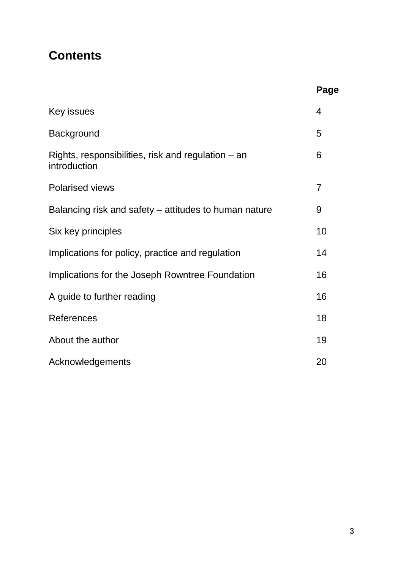# **Contents**

|                                                                      | Page           |
|----------------------------------------------------------------------|----------------|
| Key issues                                                           | $\overline{4}$ |
| <b>Background</b>                                                    | 5              |
| Rights, responsibilities, risk and regulation $-$ an<br>introduction | 6              |
| <b>Polarised views</b>                                               | 7              |
| Balancing risk and safety – attitudes to human nature                | 9              |
| Six key principles                                                   | 10             |
| Implications for policy, practice and regulation                     | 14             |
| Implications for the Joseph Rowntree Foundation                      | 16             |
| A guide to further reading                                           | 16             |
| <b>References</b>                                                    | 18             |
| About the author                                                     | 19             |
| Acknowledgements                                                     | 20             |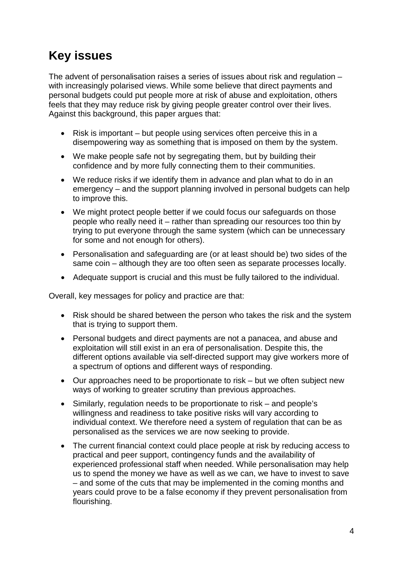# **Key issues**

The advent of personalisation raises a series of issues about risk and regulation – with increasingly polarised views. While some believe that direct payments and personal budgets could put people more at risk of abuse and exploitation, others feels that they may reduce risk by giving people greater control over their lives. Against this background, this paper argues that:

- Risk is important but people using services often perceive this in a disempowering way as something that is imposed on them by the system.
- We make people safe not by segregating them, but by building their confidence and by more fully connecting them to their communities.
- We reduce risks if we identify them in advance and plan what to do in an emergency – and the support planning involved in personal budgets can help to improve this.
- We might protect people better if we could focus our safeguards on those people who really need it – rather than spreading our resources too thin by trying to put everyone through the same system (which can be unnecessary for some and not enough for others).
- Personalisation and safeguarding are (or at least should be) two sides of the same coin – although they are too often seen as separate processes locally.
- Adequate support is crucial and this must be fully tailored to the individual.

Overall, key messages for policy and practice are that:

- Risk should be shared between the person who takes the risk and the system that is trying to support them.
- Personal budgets and direct payments are not a panacea, and abuse and exploitation will still exist in an era of personalisation. Despite this, the different options available via self-directed support may give workers more of a spectrum of options and different ways of responding.
- Our approaches need to be proportionate to risk but we often subject new ways of working to greater scrutiny than previous approaches.
- Similarly, regulation needs to be proportionate to risk and people's willingness and readiness to take positive risks will vary according to individual context. We therefore need a system of regulation that can be as personalised as the services we are now seeking to provide.
- The current financial context could place people at risk by reducing access to practical and peer support, contingency funds and the availability of experienced professional staff when needed. While personalisation may help us to spend the money we have as well as we can, we have to invest to save – and some of the cuts that may be implemented in the coming months and years could prove to be a false economy if they prevent personalisation from flourishing.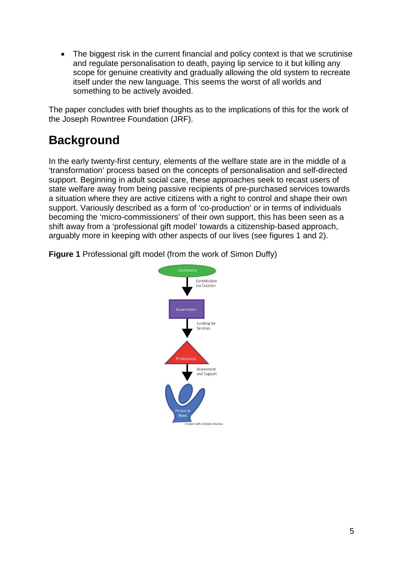• The biggest risk in the current financial and policy context is that we scrutinise and regulate personalisation to death, paying lip service to it but killing any scope for genuine creativity and gradually allowing the old system to recreate itself under the new language. This seems the worst of all worlds and something to be actively avoided.

The paper concludes with brief thoughts as to the implications of this for the work of the Joseph Rowntree Foundation (JRF).

# **Background**

In the early twenty-first century, elements of the welfare state are in the middle of a 'transformation' process based on the concepts of personalisation and self-directed support. Beginning in adult social care, these approaches seek to recast users of state welfare away from being passive recipients of pre-purchased services towards a situation where they are active citizens with a right to control and shape their own support. Variously described as a form of 'co-production' or in terms of individuals becoming the 'micro-commissioners' of their own support, this has been seen as a shift away from a 'professional gift model' towards a citizenship-based approach, arguably more in keeping with other aspects of our lives (see figures 1 and 2).



**Figure 1** Professional gift model (from the work of Simon Duffy)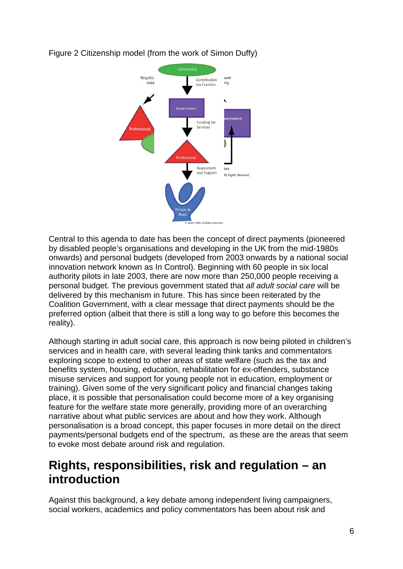

#### Figure 2 Citizenship model (from the work of Simon Duffy)

Central to this agenda to date has been the concept of direct payments (pioneered by disabled people's organisations and developing in the UK from the mid-1980s onwards) and personal budgets (developed from 2003 onwards by a national social innovation network known as In Control). Beginning with 60 people in six local authority pilots in late 2003, there are now more than 250,000 people receiving a personal budget. The previous government stated that *all adult social care* will be delivered by this mechanism in future. This has since been reiterated by the Coalition Government, with a clear message that direct payments should be the preferred option (albeit that there is still a long way to go before this becomes the reality).

Although starting in adult social care, this approach is now being piloted in children's services and in health care, with several leading think tanks and commentators exploring scope to extend to other areas of state welfare (such as the tax and benefits system, housing, education, rehabilitation for ex-offenders, substance misuse services and support for young people not in education, employment or training). Given some of the very significant policy and financial changes taking place, it is possible that personalisation could become more of a key organising feature for the welfare state more generally, providing more of an overarching narrative about what public services are about and how they work. Although personalisation is a broad concept, this paper focuses in more detail on the direct payments/personal budgets end of the spectrum, as these are the areas that seem to evoke most debate around risk and regulation.

### **Rights, responsibilities, risk and regulation – an introduction**

Against this background, a key debate among independent living campaigners, social workers, academics and policy commentators has been about risk and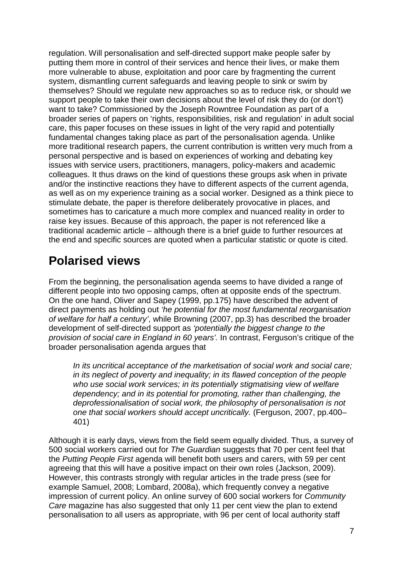regulation. Will personalisation and self-directed support make people safer by putting them more in control of their services and hence their lives, or make them more vulnerable to abuse, exploitation and poor care by fragmenting the current system, dismantling current safeguards and leaving people to sink or swim by themselves? Should we regulate new approaches so as to reduce risk, or should we support people to take their own decisions about the level of risk they do (or don't) want to take? Commissioned by the Joseph Rowntree Foundation as part of a broader series of papers on 'rights, responsibilities, risk and regulation' in adult social care, this paper focuses on these issues in light of the very rapid and potentially fundamental changes taking place as part of the personalisation agenda. Unlike more traditional research papers, the current contribution is written very much from a personal perspective and is based on experiences of working and debating key issues with service users, practitioners, managers, policy-makers and academic colleagues. It thus draws on the kind of questions these groups ask when in private and/or the instinctive reactions they have to different aspects of the current agenda, as well as on my experience training as a social worker. Designed as a think piece to stimulate debate, the paper is therefore deliberately provocative in places, and sometimes has to caricature a much more complex and nuanced reality in order to raise key issues. Because of this approach, the paper is not referenced like a traditional academic article – although there is a brief guide to further resources at the end and specific sources are quoted when a particular statistic or quote is cited.

# **Polarised views**

From the beginning, the personalisation agenda seems to have divided a range of different people into two opposing camps, often at opposite ends of the spectrum. On the one hand, Oliver and Sapey (1999, pp.175) have described the advent of direct payments as holding out *'he potential for the most fundamental reorganisation of welfare for half a century'*, while Browning (2007, pp.3) has described the broader development of self-directed support as *'potentially the biggest change to the provision of social care in England in 60 years'.* In contrast, Ferguson's critique of the broader personalisation agenda argues that

*In its uncritical acceptance of the marketisation of social work and social care; in its neglect of poverty and inequality; in its flawed conception of the people who use social work services; in its potentially stigmatising view of welfare dependency; and in its potential for promoting, rather than challenging, the deprofessionalisation of social work, the philosophy of personalisation is not one that social workers should accept uncritically.* (Ferguson, 2007, pp.400– 401)

Although it is early days, views from the field seem equally divided. Thus, a survey of 500 social workers carried out for *The Guardian* suggests that 70 per cent feel that the *Putting People First* agenda will benefit both users and carers, with 59 per cent agreeing that this will have a positive impact on their own roles (Jackson, 2009). However, this contrasts strongly with regular articles in the trade press (see for example Samuel, 2008; Lombard, 2008a), which frequently convey a negative impression of current policy. An online survey of 600 social workers for *Community Care* magazine has also suggested that only 11 per cent view the plan to extend personalisation to all users as appropriate, with 96 per cent of local authority staff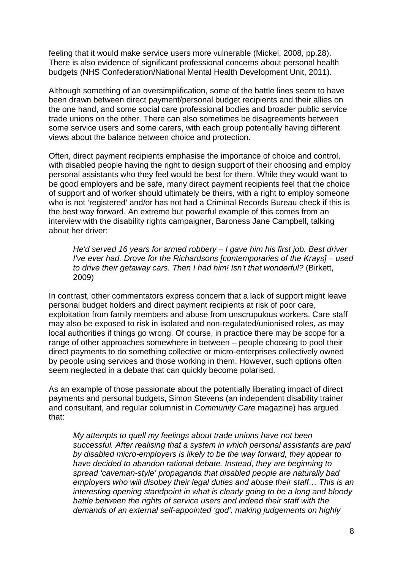feeling that it would make service users more vulnerable (Mickel, 2008, pp.28). There is also evidence of significant professional concerns about personal health budgets (NHS Confederation/National Mental Health Development Unit, 2011).

Although something of an oversimplification, some of the battle lines seem to have been drawn between direct payment/personal budget recipients and their allies on the one hand, and some social care professional bodies and broader public service trade unions on the other. There can also sometimes be disagreements between some service users and some carers, with each group potentially having different views about the balance between choice and protection.

Often, direct payment recipients emphasise the importance of choice and control, with disabled people having the right to design support of their choosing and employ personal assistants who they feel would be best for them. While they would want to be good employers and be safe, many direct payment recipients feel that the choice of support and of worker should ultimately be theirs, with a right to employ someone who is not 'registered' and/or has not had a Criminal Records Bureau check if this is the best way forward. An extreme but powerful example of this comes from an interview with the disability rights campaigner, Baroness Jane Campbell, talking about her driver:

*He'd served 16 years for armed robbery* – *I gave him his first job. Best driver I've ever had. Drove for the Richardsons [contemporaries of the Krays] – used to drive their getaway cars. Then I had him! Isn't that wonderful?* (Birkett, 2009)

In contrast, other commentators express concern that a lack of support might leave personal budget holders and direct payment recipients at risk of poor care, exploitation from family members and abuse from unscrupulous workers. Care staff may also be exposed to risk in isolated and non-regulated/unionised roles, as may local authorities if things go wrong. Of course, in practice there may be scope for a range of other approaches somewhere in between – people choosing to pool their direct payments to do something collective or micro-enterprises collectively owned by people using services and those working in them. However, such options often seem neglected in a debate that can quickly become polarised.

As an example of those passionate about the potentially liberating impact of direct payments and personal budgets, Simon Stevens (an independent disability trainer and consultant, and regular columnist in *Community Care* magazine) has argued that:

*My attempts to quell my feelings about trade unions have not been successful. After realising that a system in which personal assistants are paid by disabled micro-employers is likely to be the way forward, they appear to have decided to abandon rational debate. Instead, they are beginning to spread 'caveman-style' propaganda that disabled people are naturally bad employers who will disobey their legal duties and abuse their staff… This is an interesting opening standpoint in what is clearly going to be a long and bloody battle between the rights of service users and indeed their staff with the demands of an external self-appointed 'god', making judgements on highly*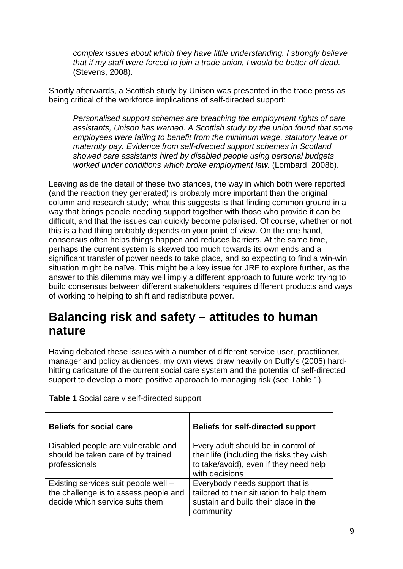*complex issues about which they have little understanding. I strongly believe that if my staff were forced to join a trade union, I would be better off dead.*  (Stevens, 2008).

Shortly afterwards, a Scottish study by Unison was presented in the trade press as being critical of the workforce implications of self-directed support:

*Personalised support schemes are breaching the employment rights of care assistants, Unison has warned. A Scottish study by the union found that some employees were failing to benefit from the minimum wage, statutory leave or maternity pay. Evidence from self-directed support schemes in Scotland showed care assistants hired by disabled people using personal budgets worked under conditions which broke employment law.* (Lombard, 2008b).

Leaving aside the detail of these two stances, the way in which both were reported (and the reaction they generated) is probably more important than the original column and research study; what this suggests is that finding common ground in a way that brings people needing support together with those who provide it can be difficult, and that the issues can quickly become polarised. Of course, whether or not this is a bad thing probably depends on your point of view. On the one hand, consensus often helps things happen and reduces barriers. At the same time, perhaps the current system is skewed too much towards its own ends and a significant transfer of power needs to take place, and so expecting to find a win-win situation might be naïve. This might be a key issue for JRF to explore further, as the answer to this dilemma may well imply a different approach to future work: trying to build consensus between different stakeholders requires different products and ways of working to helping to shift and redistribute power.

### **Balancing risk and safety – attitudes to human nature**

Having debated these issues with a number of different service user, practitioner, manager and policy audiences, my own views draw heavily on Duffy's (2005) hardhitting caricature of the current social care system and the potential of self-directed support to develop a more positive approach to managing risk (see Table 1).

| <b>Beliefs for social care</b>                                                                                   | <b>Beliefs for self-directed support</b>                                                                                                     |
|------------------------------------------------------------------------------------------------------------------|----------------------------------------------------------------------------------------------------------------------------------------------|
| Disabled people are vulnerable and<br>should be taken care of by trained<br>professionals                        | Every adult should be in control of<br>their life (including the risks they wish<br>to take/avoid), even if they need help<br>with decisions |
| Existing services suit people well -<br>the challenge is to assess people and<br>decide which service suits them | Everybody needs support that is<br>tailored to their situation to help them<br>sustain and build their place in the<br>community             |

|  | Table 1 Social care v self-directed support |  |
|--|---------------------------------------------|--|
|  |                                             |  |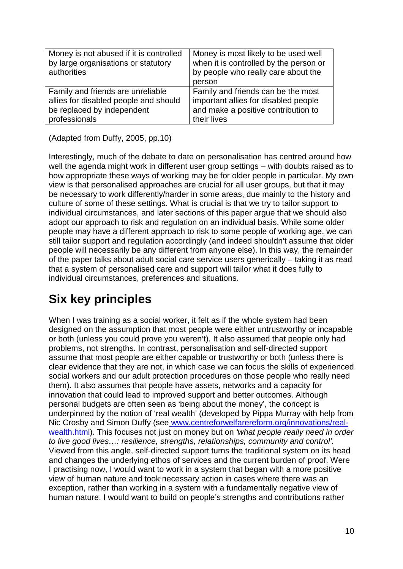| Money is not abused if it is controlled<br>by large organisations or statutory<br>authorities            | Money is most likely to be used well<br>when it is controlled by the person or<br>by people who really care about the<br>person |
|----------------------------------------------------------------------------------------------------------|---------------------------------------------------------------------------------------------------------------------------------|
| Family and friends are unreliable<br>allies for disabled people and should<br>be replaced by independent | Family and friends can be the most<br>important allies for disabled people<br>and make a positive contribution to               |
| professionals                                                                                            | their lives                                                                                                                     |

(Adapted from Duffy, 2005, pp.10)

Interestingly, much of the debate to date on personalisation has centred around how well the agenda might work in different user group settings – with doubts raised as to how appropriate these ways of working may be for older people in particular. My own view is that personalised approaches are crucial for all user groups, but that it may be necessary to work differently/harder in some areas, due mainly to the history and culture of some of these settings. What is crucial is that we try to tailor support to individual circumstances, and later sections of this paper argue that we should also adopt our approach to risk and regulation on an individual basis. While some older people may have a different approach to risk to some people of working age, we can still tailor support and regulation accordingly (and indeed shouldn't assume that older people will necessarily be any different from anyone else). In this way, the remainder of the paper talks about adult social care service users generically – taking it as read that a system of personalised care and support will tailor what it does fully to individual circumstances, preferences and situations.

# **Six key principles**

When I was training as a social worker, it felt as if the whole system had been designed on the assumption that most people were either untrustworthy or incapable or both (unless you could prove you weren't). It also assumed that people only had problems, not strengths. In contrast, personalisation and self-directed support assume that most people are either capable or trustworthy or both (unless there is clear evidence that they are not, in which case we can focus the skills of experienced social workers and our adult protection procedures on those people who really need them). It also assumes that people have assets, networks and a capacity for innovation that could lead to improved support and better outcomes. Although personal budgets are often seen as 'being about the money', the concept is underpinned by the notion of 'real wealth' (developed by Pippa Murray with help from Nic Crosby and Simon Duffy (see www.centreforwelfarereform.org/innovations/realwealth.html). This focuses not just on money but on *'what people really need in order to live good lives…: resilience, strengths, relationships, community and control'.*  Viewed from this angle, self-directed support turns the traditional system on its head and changes the underlying ethos of services and the current burden of proof. Were I practising now, I would want to work in a system that began with a more positive view of human nature and took necessary action in cases where there was an exception, rather than working in a system with a fundamentally negative view of human nature. I would want to build on people's strengths and contributions rather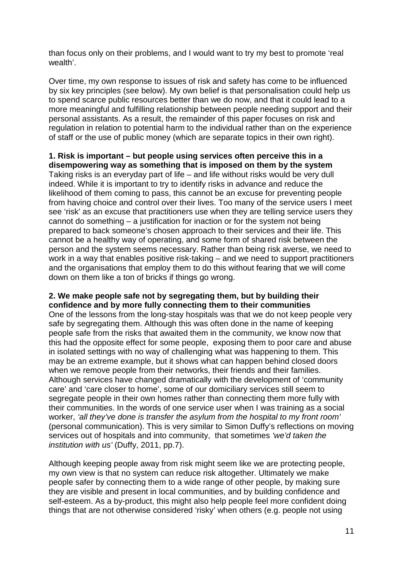than focus only on their problems, and I would want to try my best to promote 'real wealth'.

Over time, my own response to issues of risk and safety has come to be influenced by six key principles (see below). My own belief is that personalisation could help us to spend scarce public resources better than we do now, and that it could lead to a more meaningful and fulfilling relationship between people needing support and their personal assistants. As a result, the remainder of this paper focuses on risk and regulation in relation to potential harm to the individual rather than on the experience of staff or the use of public money (which are separate topics in their own right).

#### **1. Risk is important – but people using services often perceive this in a disempowering way as something that is imposed on them by the system**

Taking risks is an everyday part of life – and life without risks would be very dull indeed. While it is important to try to identify risks in advance and reduce the likelihood of them coming to pass, this cannot be an excuse for preventing people from having choice and control over their lives. Too many of the service users I meet see 'risk' as an excuse that practitioners use when they are telling service users they cannot do something – a justification for inaction or for the system not being prepared to back someone's chosen approach to their services and their life. This cannot be a healthy way of operating, and some form of shared risk between the person and the system seems necessary. Rather than being risk averse, we need to work in a way that enables positive risk-taking – and we need to support practitioners and the organisations that employ them to do this without fearing that we will come down on them like a ton of bricks if things go wrong.

#### **2. We make people safe not by segregating them, but by building their confidence and by more fully connecting them to their communities**

One of the lessons from the long-stay hospitals was that we do not keep people very safe by segregating them. Although this was often done in the name of keeping people safe from the risks that awaited them in the community, we know now that this had the opposite effect for some people, exposing them to poor care and abuse in isolated settings with no way of challenging what was happening to them. This may be an extreme example, but it shows what can happen behind closed doors when we remove people from their networks, their friends and their families. Although services have changed dramatically with the development of 'community care' and 'care closer to home', some of our domiciliary services still seem to segregate people in their own homes rather than connecting them more fully with their communities. In the words of one service user when I was training as a social worker, *'all they've done is transfer the asylum from the hospital to my front room'*  (personal communication). This is very similar to Simon Duffy's reflections on moving services out of hospitals and into community, that sometimes *'we'd taken the institution with us'* (Duffy, 2011, pp.7).

Although keeping people away from risk might seem like we are protecting people, my own view is that no system can reduce risk altogether. Ultimately we make people safer by connecting them to a wide range of other people, by making sure they are visible and present in local communities, and by building confidence and self-esteem. As a by-product, this might also help people feel more confident doing things that are not otherwise considered 'risky' when others (e.g. people not using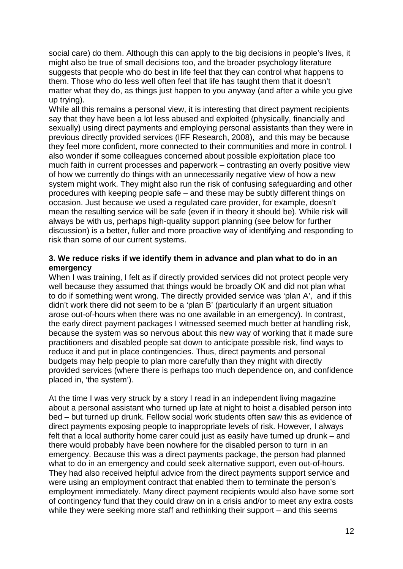social care) do them. Although this can apply to the big decisions in people's lives, it might also be true of small decisions too, and the broader psychology literature suggests that people who do best in life feel that they can control what happens to them. Those who do less well often feel that life has taught them that it doesn't matter what they do, as things just happen to you anyway (and after a while you give up trying).

While all this remains a personal view, it is interesting that direct payment recipients say that they have been a lot less abused and exploited (physically, financially and sexually) using direct payments and employing personal assistants than they were in previous directly provided services (IFF Research, 2008), and this may be because they feel more confident, more connected to their communities and more in control. I also wonder if some colleagues concerned about possible exploitation place too much faith in current processes and paperwork – contrasting an overly positive view of how we currently do things with an unnecessarily negative view of how a new system might work. They might also run the risk of confusing safeguarding and other procedures with keeping people safe – and these may be subtly different things on occasion. Just because we used a regulated care provider, for example, doesn't mean the resulting service will be safe (even if in theory it should be). While risk will always be with us, perhaps high-quality support planning (see below for further discussion) is a better, fuller and more proactive way of identifying and responding to risk than some of our current systems.

#### **3. We reduce risks if we identify them in advance and plan what to do in an emergency**

When I was training, I felt as if directly provided services did not protect people very well because they assumed that things would be broadly OK and did not plan what to do if something went wrong. The directly provided service was 'plan A', and if this didn't work there did not seem to be a 'plan B' (particularly if an urgent situation arose out-of-hours when there was no one available in an emergency). In contrast, the early direct payment packages I witnessed seemed much better at handling risk, because the system was so nervous about this new way of working that it made sure practitioners and disabled people sat down to anticipate possible risk, find ways to reduce it and put in place contingencies. Thus, direct payments and personal budgets may help people to plan more carefully than they might with directly provided services (where there is perhaps too much dependence on, and confidence placed in, 'the system').

At the time I was very struck by a story I read in an independent living magazine about a personal assistant who turned up late at night to hoist a disabled person into bed – but turned up drunk. Fellow social work students often saw this as evidence of direct payments exposing people to inappropriate levels of risk. However, I always felt that a local authority home carer could just as easily have turned up drunk – and there would probably have been nowhere for the disabled person to turn in an emergency. Because this was a direct payments package, the person had planned what to do in an emergency and could seek alternative support, even out-of-hours. They had also received helpful advice from the direct payments support service and were using an employment contract that enabled them to terminate the person's employment immediately. Many direct payment recipients would also have some sort of contingency fund that they could draw on in a crisis and/or to meet any extra costs while they were seeking more staff and rethinking their support – and this seems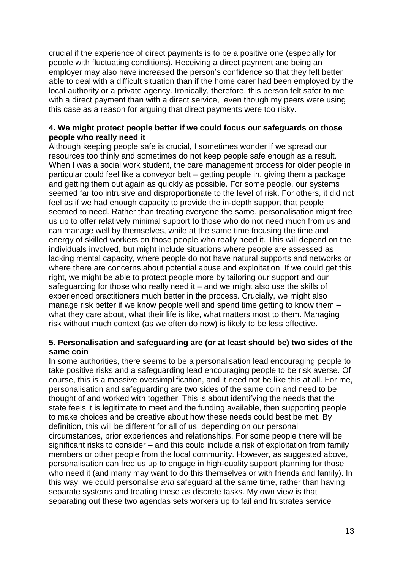crucial if the experience of direct payments is to be a positive one (especially for people with fluctuating conditions). Receiving a direct payment and being an employer may also have increased the person's confidence so that they felt better able to deal with a difficult situation than if the home carer had been employed by the local authority or a private agency. Ironically, therefore, this person felt safer to me with a direct payment than with a direct service, even though my peers were using this case as a reason for arguing that direct payments were too risky.

#### **4. We might protect people better if we could focus our safeguards on those people who really need it**

Although keeping people safe is crucial, I sometimes wonder if we spread our resources too thinly and sometimes do not keep people safe enough as a result. When I was a social work student, the care management process for older people in particular could feel like a conveyor belt – getting people in, giving them a package and getting them out again as quickly as possible. For some people, our systems seemed far too intrusive and disproportionate to the level of risk. For others, it did not feel as if we had enough capacity to provide the in-depth support that people seemed to need. Rather than treating everyone the same, personalisation might free us up to offer relatively minimal support to those who do not need much from us and can manage well by themselves, while at the same time focusing the time and energy of skilled workers on those people who really need it. This will depend on the individuals involved, but might include situations where people are assessed as lacking mental capacity, where people do not have natural supports and networks or where there are concerns about potential abuse and exploitation. If we could get this right, we might be able to protect people more by tailoring our support and our safeguarding for those who really need it – and we might also use the skills of experienced practitioners much better in the process. Crucially, we might also manage risk better if we know people well and spend time getting to know them – what they care about, what their life is like, what matters most to them. Managing risk without much context (as we often do now) is likely to be less effective.

#### **5. Personalisation and safeguarding are (or at least should be) two sides of the same coin**

In some authorities, there seems to be a personalisation lead encouraging people to take positive risks and a safeguarding lead encouraging people to be risk averse. Of course, this is a massive oversimplification, and it need not be like this at all. For me, personalisation and safeguarding are two sides of the same coin and need to be thought of and worked with together. This is about identifying the needs that the state feels it is legitimate to meet and the funding available, then supporting people to make choices and be creative about how these needs could best be met. By definition, this will be different for all of us, depending on our personal circumstances, prior experiences and relationships. For some people there will be significant risks to consider – and this could include a risk of exploitation from family members or other people from the local community. However, as suggested above, personalisation can free us up to engage in high-quality support planning for those who need it (and many may want to do this themselves or with friends and family). In this way, we could personalise *and* safeguard at the same time, rather than having separate systems and treating these as discrete tasks. My own view is that separating out these two agendas sets workers up to fail and frustrates service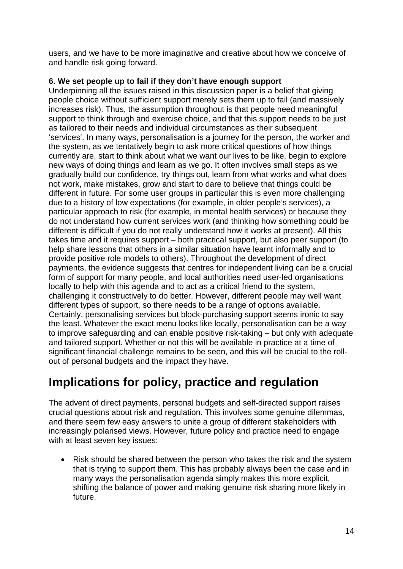users, and we have to be more imaginative and creative about how we conceive of and handle risk going forward.

#### **6. We set people up to fail if they don't have enough support**

Underpinning all the issues raised in this discussion paper is a belief that giving people choice without sufficient support merely sets them up to fail (and massively increases risk). Thus, the assumption throughout is that people need meaningful support to think through and exercise choice, and that this support needs to be just as tailored to their needs and individual circumstances as their subsequent 'services'. In many ways, personalisation is a journey for the person, the worker and the system, as we tentatively begin to ask more critical questions of how things currently are, start to think about what we want our lives to be like, begin to explore new ways of doing things and learn as we go. It often involves small steps as we gradually build our confidence, try things out, learn from what works and what does not work, make mistakes, grow and start to dare to believe that things could be different in future. For some user groups in particular this is even more challenging due to a history of low expectations (for example, in older people's services), a particular approach to risk (for example, in mental health services) or because they do not understand how current services work (and thinking how something could be different is difficult if you do not really understand how it works at present). All this takes time and it requires support – both practical support, but also peer support (to help share lessons that others in a similar situation have learnt informally and to provide positive role models to others). Throughout the development of direct payments, the evidence suggests that centres for independent living can be a crucial form of support for many people, and local authorities need user-led organisations locally to help with this agenda and to act as a critical friend to the system, challenging it constructively to do better. However, different people may well want different types of support, so there needs to be a range of options available. Certainly, personalising services but block-purchasing support seems ironic to say the least. Whatever the exact menu looks like locally, personalisation can be a way to improve safeguarding and can enable positive risk-taking – but only with adequate and tailored support. Whether or not this will be available in practice at a time of significant financial challenge remains to be seen, and this will be crucial to the rollout of personal budgets and the impact they have.

### **Implications for policy, practice and regulation**

The advent of direct payments, personal budgets and self-directed support raises crucial questions about risk and regulation. This involves some genuine dilemmas, and there seem few easy answers to unite a group of different stakeholders with increasingly polarised views. However, future policy and practice need to engage with at least seven key issues:

• Risk should be shared between the person who takes the risk and the system that is trying to support them. This has probably always been the case and in many ways the personalisation agenda simply makes this more explicit, shifting the balance of power and making genuine risk sharing more likely in future.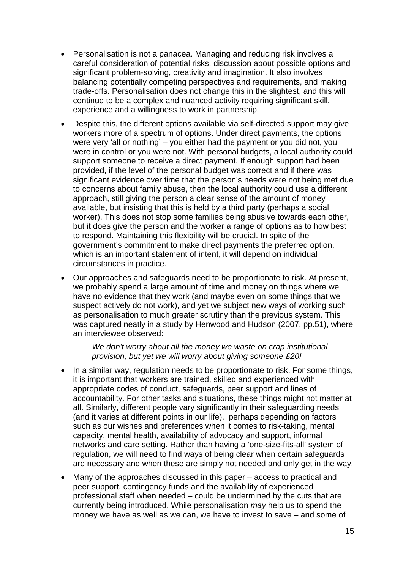- Personalisation is not a panacea. Managing and reducing risk involves a careful consideration of potential risks, discussion about possible options and significant problem-solving, creativity and imagination. It also involves balancing potentially competing perspectives and requirements, and making trade-offs. Personalisation does not change this in the slightest, and this will continue to be a complex and nuanced activity requiring significant skill, experience and a willingness to work in partnership.
- Despite this, the different options available via self-directed support may give workers more of a spectrum of options. Under direct payments, the options were very 'all or nothing' – you either had the payment or you did not, you were in control or you were not. With personal budgets, a local authority could support someone to receive a direct payment. If enough support had been provided, if the level of the personal budget was correct and if there was significant evidence over time that the person's needs were not being met due to concerns about family abuse, then the local authority could use a different approach, still giving the person a clear sense of the amount of money available, but insisting that this is held by a third party (perhaps a social worker). This does not stop some families being abusive towards each other, but it does give the person and the worker a range of options as to how best to respond. Maintaining this flexibility will be crucial. In spite of the government's commitment to make direct payments the preferred option, which is an important statement of intent, it will depend on individual circumstances in practice.
- Our approaches and safeguards need to be proportionate to risk. At present, we probably spend a large amount of time and money on things where we have no evidence that they work (and maybe even on some things that we suspect actively do not work), and yet we subject new ways of working such as personalisation to much greater scrutiny than the previous system. This was captured neatly in a study by Henwood and Hudson (2007, pp.51), where an interviewee observed:

*We don't worry about all the money we waste on crap institutional provision, but yet we will worry about giving someone £20!*

- In a similar way, regulation needs to be proportionate to risk. For some things, it is important that workers are trained, skilled and experienced with appropriate codes of conduct, safeguards, peer support and lines of accountability. For other tasks and situations, these things might not matter at all. Similarly, different people vary significantly in their safeguarding needs (and it varies at different points in our life), perhaps depending on factors such as our wishes and preferences when it comes to risk-taking, mental capacity, mental health, availability of advocacy and support, informal networks and care setting. Rather than having a 'one-size-fits-all' system of regulation, we will need to find ways of being clear when certain safeguards are necessary and when these are simply not needed and only get in the way.
- Many of the approaches discussed in this paper access to practical and peer support, contingency funds and the availability of experienced professional staff when needed – could be undermined by the cuts that are currently being introduced. While personalisation *may* help us to spend the money we have as well as we can, we have to invest to save – and some of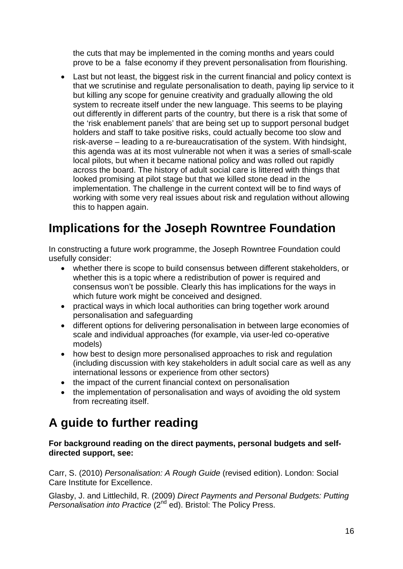the cuts that may be implemented in the coming months and years could prove to be a false economy if they prevent personalisation from flourishing.

• Last but not least, the biggest risk in the current financial and policy context is that we scrutinise and regulate personalisation to death, paying lip service to it but killing any scope for genuine creativity and gradually allowing the old system to recreate itself under the new language. This seems to be playing out differently in different parts of the country, but there is a risk that some of the 'risk enablement panels' that are being set up to support personal budget holders and staff to take positive risks, could actually become too slow and risk-averse – leading to a re-bureaucratisation of the system. With hindsight, this agenda was at its most vulnerable not when it was a series of small-scale local pilots, but when it became national policy and was rolled out rapidly across the board. The history of adult social care is littered with things that looked promising at pilot stage but that we killed stone dead in the implementation. The challenge in the current context will be to find ways of working with some very real issues about risk and regulation without allowing this to happen again.

## **Implications for the Joseph Rowntree Foundation**

In constructing a future work programme, the Joseph Rowntree Foundation could usefully consider:

- whether there is scope to build consensus between different stakeholders, or whether this is a topic where a redistribution of power is required and consensus won't be possible. Clearly this has implications for the ways in which future work might be conceived and designed.
- practical ways in which local authorities can bring together work around personalisation and safeguarding
- different options for delivering personalisation in between large economies of scale and individual approaches (for example, via user-led co-operative models)
- how best to design more personalised approaches to risk and regulation (including discussion with key stakeholders in adult social care as well as any international lessons or experience from other sectors)
- the impact of the current financial context on personalisation
- the implementation of personalisation and ways of avoiding the old system from recreating itself.

# **A guide to further reading**

#### **For background reading on the direct payments, personal budgets and selfdirected support, see:**

Carr, S. (2010) *Personalisation: A Rough Guide* (revised edition). London: Social Care Institute for Excellence.

Glasby, J. and Littlechild, R. (2009) *Direct Payments and Personal Budgets: Putting Personalisation into Practice* (2<sup>nd</sup> ed). Bristol: The Policy Press.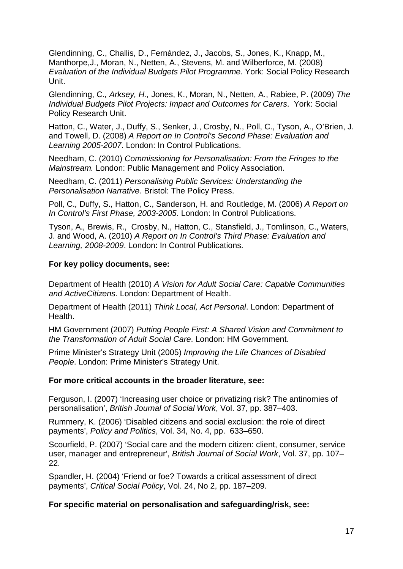Glendinning, C., Challis, D., Fernández, J., Jacobs, S., Jones, K., Knapp, M., Manthorpe,J., Moran, N., Netten, A., Stevens, M. and Wilberforce, M. (2008) *Evaluation of the Individual Budgets Pilot Programme*. York: Social Policy Research Unit.

Glendinning, C.*, Arksey, H.,* Jones, K., Moran, N., Netten, A., Rabiee, P. (2009) *The Individual Budgets Pilot Projects: Impact and Outcomes for Carers*. York: Social Policy Research Unit.

Hatton, C., Water, J., Duffy, S., Senker, J., Crosby, N., Poll, C., Tyson, A., O'Brien, J. and Towell, D. (2008) *A Report on In Control's Second Phase: Evaluation and Learning 2005-2007*. London: In Control Publications.

Needham, C. (2010) *Commissioning for Personalisation: From the Fringes to the Mainstream.* London: Public Management and Policy Association.

Needham, C. (2011) *Personalising Public Services: Understanding the Personalisation Narrative.* Bristol: The Policy Press.

Poll, C.*,* Duffy, S., Hatton, C., Sanderson, H. and Routledge, M. (2006) *A Report on In Control's First Phase, 2003-2005*. London: In Control Publications.

Tyson, A.*,* Brewis, R., Crosby, N., Hatton, C., Stansfield, J., Tomlinson, C., Waters, J. and Wood, A. (2010) *A Report on In Control's Third Phase: Evaluation and Learning, 2008-2009*. London: In Control Publications.

#### **For key policy documents, see:**

Department of Health (2010) *A Vision for Adult Social Care: Capable Communities and ActiveCitizens*. London: Department of Health.

Department of Health (2011) *Think Local, Act Personal*. London: Department of Health.

HM Government (2007) *Putting People First: A Shared Vision and Commitment to the Transformation of Adult Social Care*. London: HM Government.

Prime Minister's Strategy Unit (2005) *Improving the Life Chances of Disabled People*. London: Prime Minister's Strategy Unit.

#### **For more critical accounts in the broader literature, see:**

Ferguson, I. (2007) 'Increasing user choice or privatizing risk? The antinomies of personalisation', *British Journal of Social Work*, Vol. 37, pp. 387–403.

Rummery, K. (2006) 'Disabled citizens and social exclusion: the role of direct payments', *Policy and Politics*, Vol. 34, No. 4, pp. 633–650.

Scourfield, P. (2007) 'Social care and the modern citizen: client, consumer, service user, manager and entrepreneur', *British Journal of Social Work*, Vol. 37, pp. 107– 22.

Spandler, H. (2004) 'Friend or foe? Towards a critical assessment of direct payments', *Critical Social Policy*, Vol. 24, No 2, pp. 187–209.

#### **For specific material on personalisation and safeguarding/risk, see:**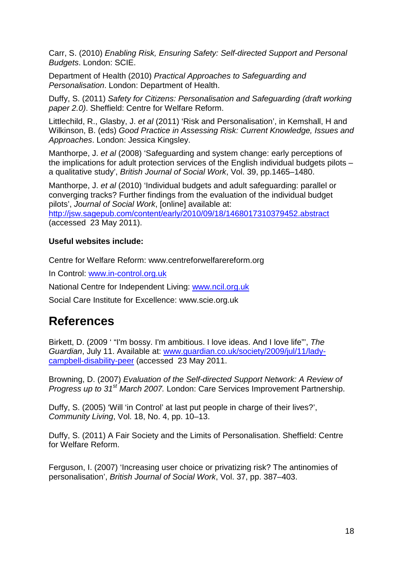Carr, S. (2010) *Enabling Risk, Ensuring Safety: Self-directed Support and Personal Budgets*. London: SCIE.

Department of Health (2010) *Practical Approaches to Safeguarding and Personalisation*. London: Department of Health.

Duffy, S. (2011) *Safety for Citizens: Personalisation and Safeguarding (draft working paper 2.0)*. Sheffield: Centre for Welfare Reform.

Littlechild, R., Glasby, J. *et al* (2011) 'Risk and Personalisation', in Kemshall, H and Wilkinson, B. (eds) *Good Practice in Assessing Risk: Current Knowledge, Issues and Approaches*. London: Jessica Kingsley.

Manthorpe, J. *et al* (2008) 'Safeguarding and system change: early perceptions of the implications for adult protection services of the English individual budgets pilots – a qualitative study', *British Journal of Social Work*, Vol. 39, pp.1465–1480.

Manthorpe, J. *et al* (2010) 'Individual budgets and adult safeguarding: parallel or converging tracks? Further findings from the evaluation of the individual budget pilots', *Journal of Social Work*, [online] available at:

<http://jsw.sagepub.com/content/early/2010/09/18/1468017310379452.abstract> (accessed 23 May 2011).

#### **Useful websites include:**

Centre for Welfare Reform: www.centreforwelfarereform.org

In Control: [www.in-control.org.uk](http://www.in-control.org.uk/)

National Centre for Independent Living: [www.ncil.org.uk](http://www.ncil.org.uk/)

Social Care Institute for Excellence: www.scie.org.uk

### **References**

Birkett, D. (2009 ' "I'm bossy. I'm ambitious. I love ideas. And I love life"', *The Guardian*, July 11. Available at: [www.guardian.co.uk/society/2009/jul/11/lady](http://www.guardian.co.uk/society/2009/jul/11/lady-campbell-disability-peer)[campbell-disability-peer](http://www.guardian.co.uk/society/2009/jul/11/lady-campbell-disability-peer) (accessed 23 May 2011.

Browning, D. (2007) *Evaluation of the Self-directed Support Network: A Review of Progress up to 31st March 2007.* London: Care Services Improvement Partnership.

Duffy, S. (2005) 'Will 'in Control' at last put people in charge of their lives?', *Community Living*, Vol. 18, No. 4, pp. 10–13.

Duffy, S. (2011) A Fair Society and the Limits of Personalisation. Sheffield: Centre for Welfare Reform.

Ferguson, I. (2007) 'Increasing user choice or privatizing risk? The antinomies of personalisation', *British Journal of Social Work*, Vol. 37, pp. 387–403.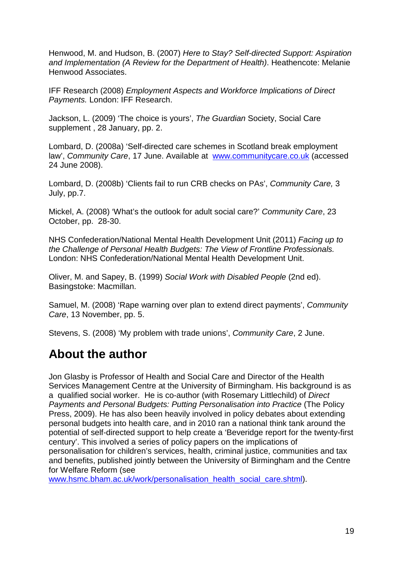Henwood, M. and Hudson, B. (2007) *Here to Stay? Self-directed Support: Aspiration and Implementation (A Review for the Department of Health)*. Heathencote: Melanie Henwood Associates.

IFF Research (2008) *Employment Aspects and Workforce Implications of Direct Payments.* London: IFF Research.

Jackson, L. (2009) 'The choice is yours', *The Guardian* Society, Social Care supplement , 28 January, pp. 2.

Lombard, D. (2008a) 'Self-directed care schemes in Scotland break employment law', *Community Care*, 17 June. Available at [www.communitycare.co.uk](http://www.communitycare.co.uk/) (accessed 24 June 2008).

Lombard, D. (2008b) 'Clients fail to run CRB checks on PAs', *Community Care,* 3 July, pp.7.

Mickel, A. (2008) 'What's the outlook for adult social care?' *Community Care*, 23 October, pp. 28-30.

NHS Confederation/National Mental Health Development Unit (2011) *Facing up to the Challenge of Personal Health Budgets: The View of Frontline Professionals.*  London: NHS Confederation/National Mental Health Development Unit.

Oliver, M. and Sapey, B. (1999) *Social Work with Disabled People* (2nd ed). Basingstoke: Macmillan.

Samuel, M. (2008) 'Rape warning over plan to extend direct payments', *Community Care*, 13 November, pp. 5.

Stevens, S. (2008) 'My problem with trade unions', *Community Care*, 2 June.

### **About the author**

Jon Glasby is Professor of Health and Social Care and Director of the Health Services Management Centre at the University of Birmingham. His background is as a qualified social worker. He is co-author (with Rosemary Littlechild) of *Direct Payments and Personal Budgets: Putting Personalisation into Practice* (The Policy Press, 2009). He has also been heavily involved in policy debates about extending personal budgets into health care, and in 2010 ran a national think tank around the potential of self-directed support to help create a 'Beveridge report for the twenty-first century'. This involved a series of policy papers on the implications of personalisation for children's services, health, criminal justice, communities and tax and benefits, published jointly between the University of Birmingham and the Centre for Welfare Reform (see

[www.hsmc.bham.ac.uk/work/personalisation\\_health\\_social\\_care.shtml\)](http://www.hsmc.bham.ac.uk/work/personalisation_health_social_care.shtml).